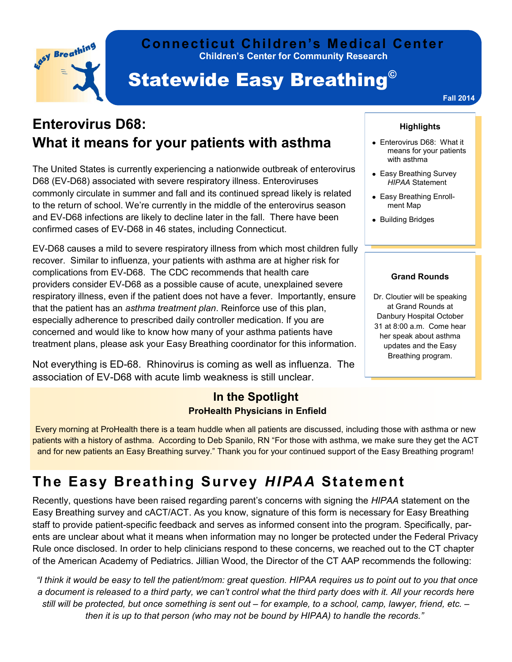

### **Children's Center for Community Research Connecticut Children's Medical Center**

# **Statewide Easy Breathing<sup>®</sup>**

**Fall 2014**

## **Enterovirus D68: What it means for your patients with asthma**

The United States is currently experiencing a nationwide outbreak of enterovirus D68 (EV-D68) associated with severe respiratory illness. Enteroviruses commonly circulate in summer and fall and its continued spread likely is related to the return of school. We're currently in the middle of the enterovirus season and EV-D68 infections are likely to decline later in the fall. There have been confirmed cases of EV-D68 in 46 states, including Connecticut.

EV-D68 causes a mild to severe respiratory illness from which most children fully recover. Similar to influenza, your patients with asthma are at higher risk for complications from EV-D68. The CDC recommends that health care providers consider EV-D68 as a possible cause of acute, unexplained severe respiratory illness, even if the patient does not have a fever. Importantly, ensure that the patient has an *asthma treatment plan*. Reinforce use of this plan, especially adherence to prescribed daily controller medication. If you are concerned and would like to know how many of your asthma patients have treatment plans, please ask your Easy Breathing coordinator for this information.

Not everything is ED-68. Rhinovirus is coming as well as influenza. The association of EV-D68 with acute limb weakness is still unclear.

## **In the Spotlight ProHealth Physicians in Enfield**

## **Highlights**

- Enterovirus D68: What it means for your patients with asthma
- Easy Breathing Survey *HIPAA* Statement
- Easy Breathing Enrollment Map
- Building Bridges

#### **Grand Rounds**

Dr. Cloutier will be speaking at Grand Rounds at Danbury Hospital October 31 at 8:00 a.m. Come hear her speak about asthma updates and the Easy Breathing program.

Every morning at ProHealth there is a team huddle when all patients are discussed, including those with asthma or new patients with a history of asthma. According to Deb Spanilo, RN "For those with asthma, we make sure they get the ACT and for new patients an Easy Breathing survey." Thank you for your continued support of the Easy Breathing program!

# **The Easy Breathing Survey** *HIPAA* **Statement**

Recently, questions have been raised regarding parent's concerns with signing the *HIPAA* statement on the Easy Breathing survey and cACT/ACT. As you know, signature of this form is necessary for Easy Breathing staff to provide patient-specific feedback and serves as informed consent into the program. Specifically, parents are unclear about what it means when information may no longer be protected under the Federal Privacy Rule once disclosed. In order to help clinicians respond to these concerns, we reached out to the CT chapter of the American Academy of Pediatrics. Jillian Wood, the Director of the CT AAP recommends the following:

*"I think it would be easy to tell the patient/mom: great question. HIPAA requires us to point out to you that once a document is released to a third party, we can't control what the third party does with it. All your records here still will be protected, but once something is sent out – for example, to a school, camp, lawyer, friend, etc. – then it is up to that person (who may not be bound by HIPAA) to handle the records."*